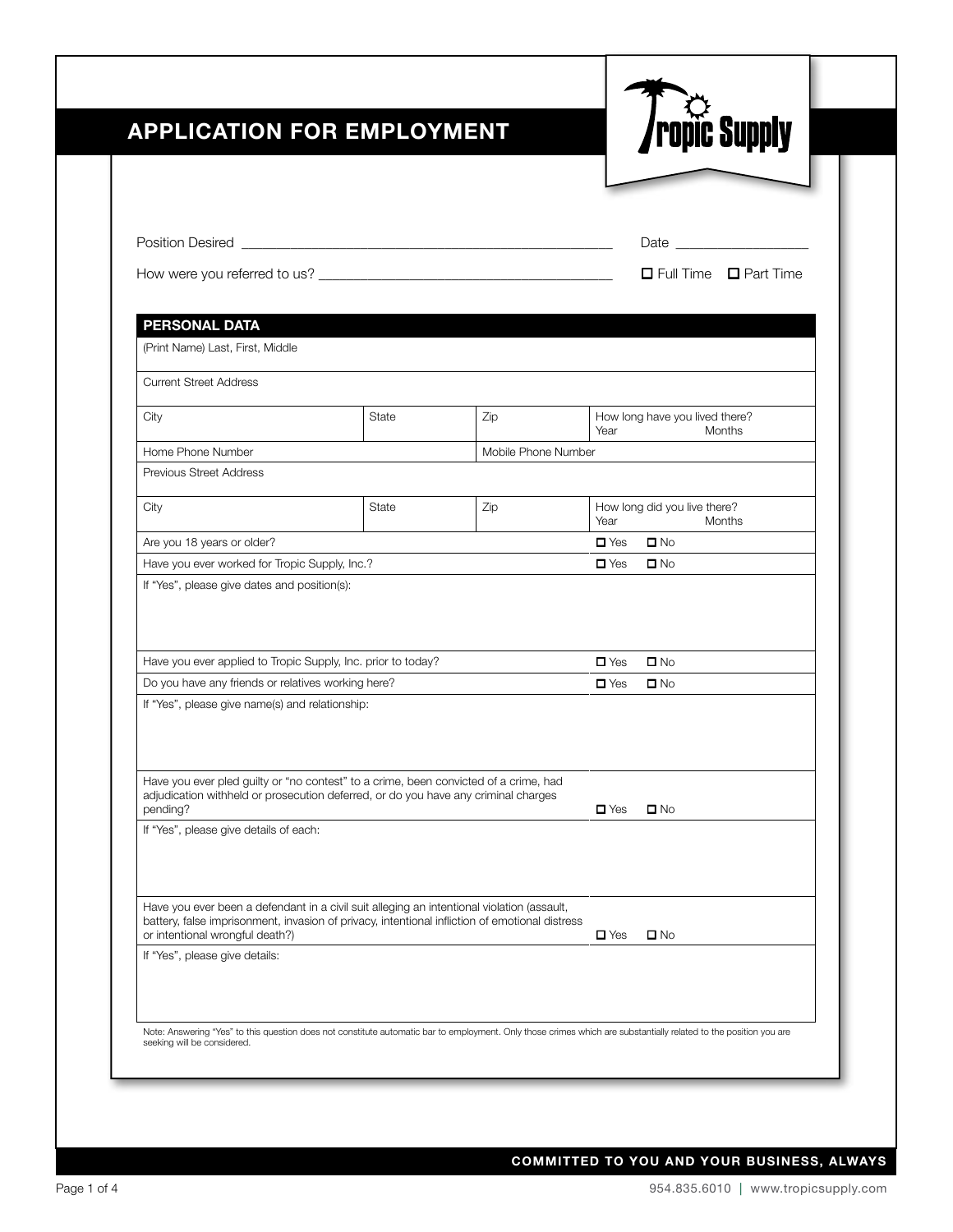|                                                                                                                                                                                                                                 |       |                     |                                        | □ Full Time □ Part Time |  |
|---------------------------------------------------------------------------------------------------------------------------------------------------------------------------------------------------------------------------------|-------|---------------------|----------------------------------------|-------------------------|--|
|                                                                                                                                                                                                                                 |       |                     |                                        |                         |  |
| <b>PERSONAL DATA</b><br>(Print Name) Last, First, Middle                                                                                                                                                                        |       |                     |                                        |                         |  |
|                                                                                                                                                                                                                                 |       |                     |                                        |                         |  |
| <b>Current Street Address</b>                                                                                                                                                                                                   |       |                     |                                        |                         |  |
| City                                                                                                                                                                                                                            | State | Zip                 | How long have you lived there?<br>Year | Months                  |  |
| Home Phone Number                                                                                                                                                                                                               |       | Mobile Phone Number |                                        |                         |  |
| Previous Street Address                                                                                                                                                                                                         |       |                     |                                        |                         |  |
| City                                                                                                                                                                                                                            | State | Zip                 | How long did you live there?<br>Year   | Months                  |  |
| Are you 18 years or older?                                                                                                                                                                                                      |       |                     | $\square$ No<br>$\blacksquare$ Yes     |                         |  |
| Have you ever worked for Tropic Supply, Inc.?                                                                                                                                                                                   |       |                     |                                        |                         |  |
| If "Yes", please give dates and position(s):                                                                                                                                                                                    |       |                     | $\Box$ Yes<br>$\square$ No             |                         |  |
| Have you ever applied to Tropic Supply, Inc. prior to today?                                                                                                                                                                    |       |                     | $\square$ No<br>$\blacksquare$ Yes     |                         |  |
| Do you have any friends or relatives working here?                                                                                                                                                                              |       |                     | $\square$ No<br>$\Box$ Yes             |                         |  |
| If "Yes", please give name(s) and relationship:<br>Have you ever pled guilty or "no contest" to a crime, been convicted of a crime, had                                                                                         |       |                     |                                        |                         |  |
| adjudication withheld or prosecution deferred, or do you have any criminal charges<br>pending?                                                                                                                                  |       |                     | $\square$ Yes<br>$\square$ No          |                         |  |
| If "Yes", please give details of each:                                                                                                                                                                                          |       |                     |                                        |                         |  |
| Have you ever been a defendant in a civil suit alleging an intentional violation (assault,<br>battery, false imprisonment, invasion of privacy, intentional infliction of emotional distress<br>or intentional wrongful death?) |       |                     | $\square$ No<br>$\square$ Yes          |                         |  |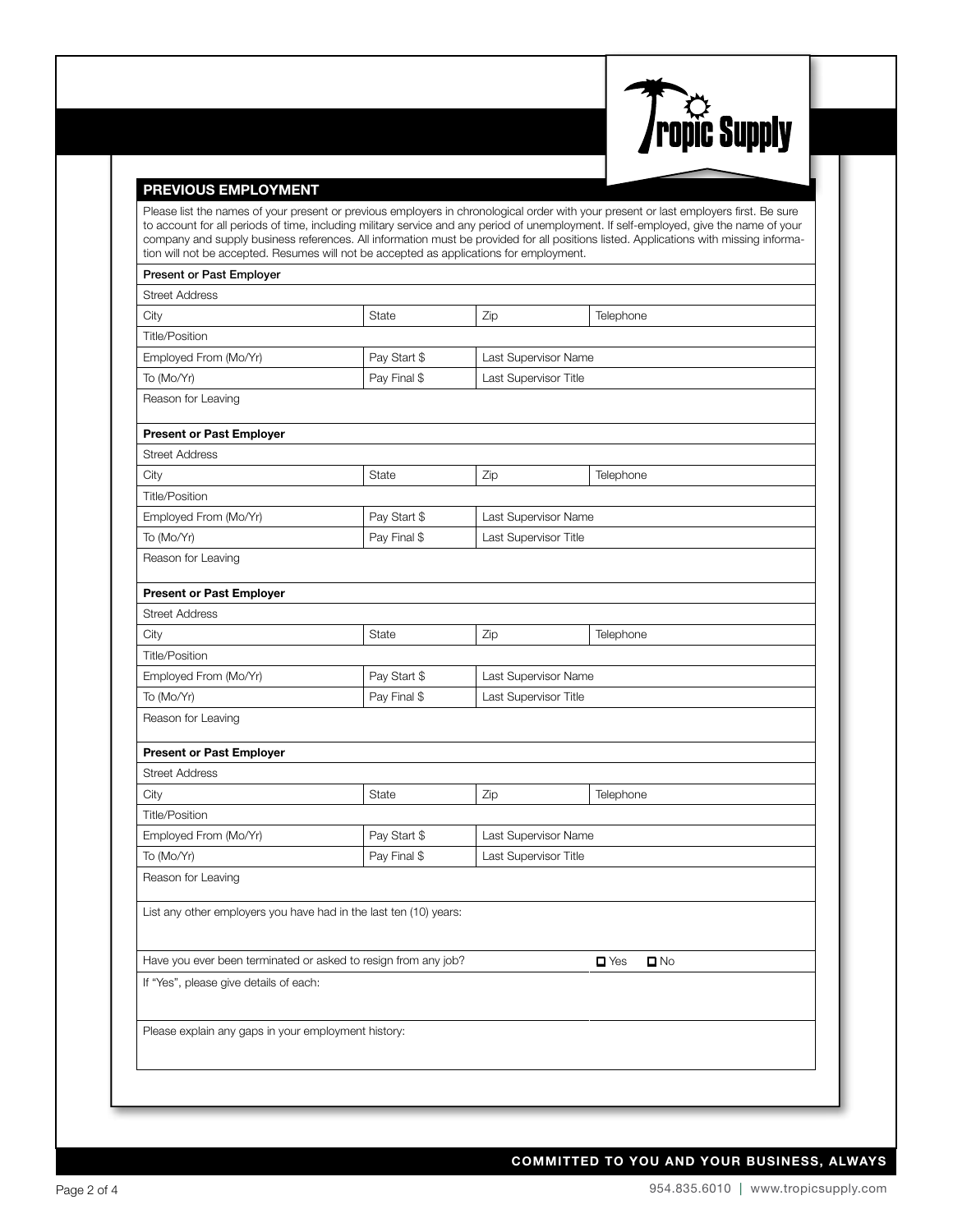

#### PREVIOUS EMPLOYMENT

Please list the names of your present or previous employers in chronological order with your present or last employers first. Be sure to account for all periods of time, including military service and any period of unemployment. If self-employed, give the name of your company and supply business references. All information must be provided for all positions listed. Applications with missing information will not be accepted. Resumes will not be accepted as applications for employment.

## Present or Past Employer Street Address City **State** State **Zip** Telephone Title/Position Employed From (Mo/Yr)  $\vert$  Pay Start \$  $\vert$  Last Supervisor Name To (Mo/Yr) To (Mo/Yr) Pay Final \$ Last Supervisor Title Reason for Leaving Present or Past Employer Street Address City **State** State Zip Telephone Title/Position Employed From (Mo/Yr)  $\vert$  Pay Start \$  $\vert$  Last Supervisor Name To (Mo/Yr) To (Mo/Yr) Pay Final \$ Last Supervisor Title Reason for Leaving Present or Past Employer Street Address City **State** State Zip Telephone Title/Position Employed From (Mo/Yr)  $\vert$  Pay Start \$  $\vert$  Last Supervisor Name To (Mo/Yr) To (Mo/Yr) Pay Final \$ Last Supervisor Title Reason for Leaving Present or Past Employer Street Address City **State** State Zip Telephone Title/Position Employed From (Mo/Yr)  $\vert$  Pay Start \$  $\vert$  Last Supervisor Name To (Mo/Yr) To (Mo/Yr) Pay Final \$ Last Supervisor Title Reason for Leaving List any other employers you have had in the last ten (10) years: Have you ever been terminated or asked to resign from any job?  $\Box$  Yes  $\Box$  No If "Yes", please give details of each: Please explain any gaps in your employment history: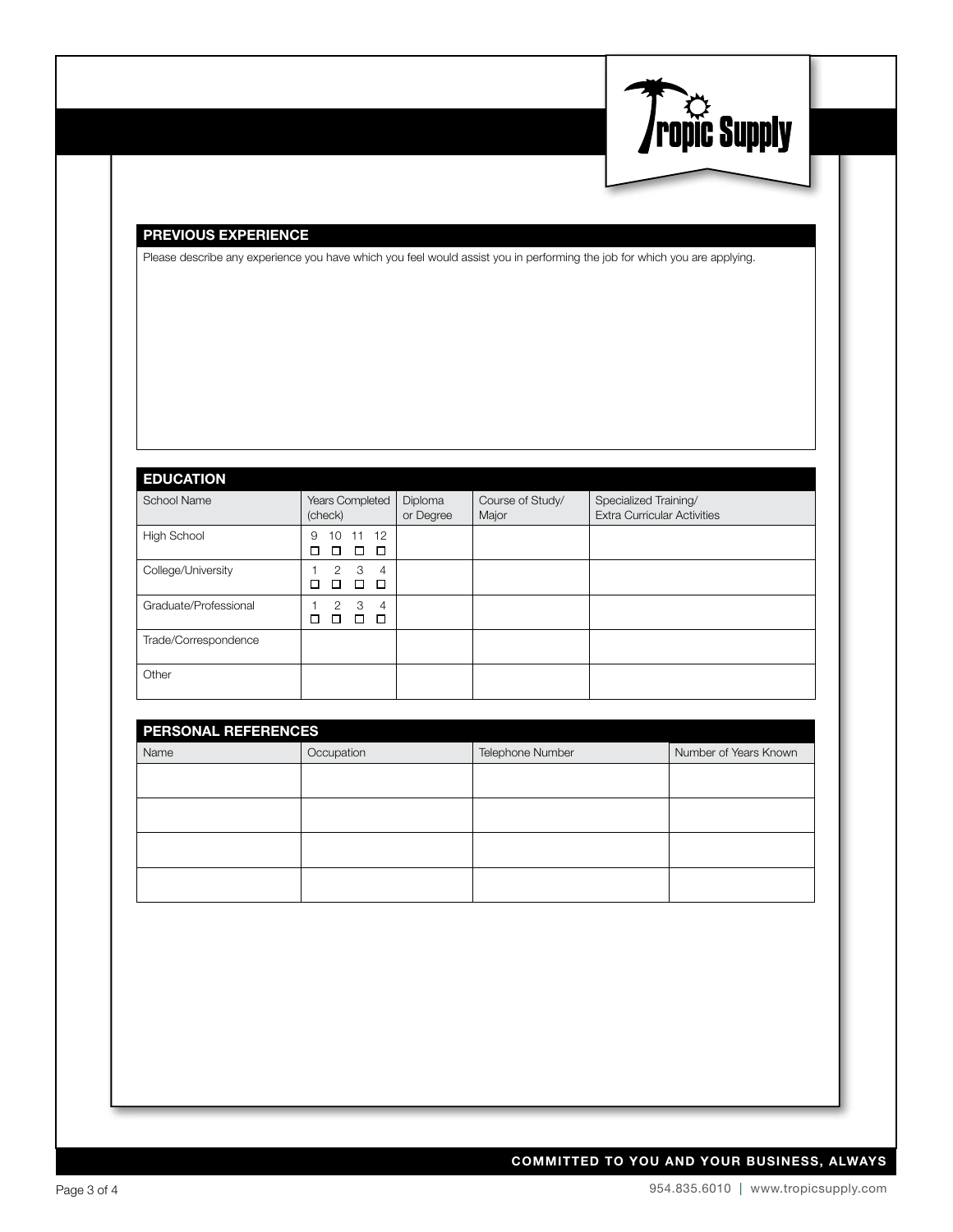

#### PREVIOUS EXPERIENCE

Please describe any experience you have which you feel would assist you in performing the job for which you are applying.

### EDUCATION

| --------              |                                                            |                      |                           |                                                             |
|-----------------------|------------------------------------------------------------|----------------------|---------------------------|-------------------------------------------------------------|
| School Name           | Years Completed<br>(check)                                 | Diploma<br>or Degree | Course of Study/<br>Major | Specialized Training/<br><b>Extra Curricular Activities</b> |
| High School           | 11 12<br>10<br>9<br>□<br>□<br>п<br>П                       |                      |                           |                                                             |
| College/University    | 3<br>$\mathfrak{D}$<br>$\overline{4}$<br>□<br>□<br>п<br>LΙ |                      |                           |                                                             |
| Graduate/Professional | 3<br>2<br>$\overline{4}$<br>П<br>п<br>Г                    |                      |                           |                                                             |
| Trade/Correspondence  |                                                            |                      |                           |                                                             |
| Other                 |                                                            |                      |                           |                                                             |

| <b>PERSONAL REFERENCES</b> |            |                  |                       |
|----------------------------|------------|------------------|-----------------------|
| Name                       | Occupation | Telephone Number | Number of Years Known |
|                            |            |                  |                       |
|                            |            |                  |                       |
|                            |            |                  |                       |
|                            |            |                  |                       |
|                            |            |                  |                       |
|                            |            |                  |                       |